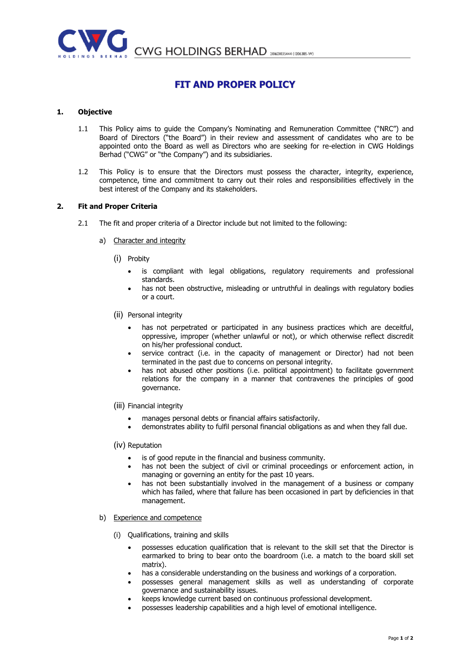

CWG HOLDINGS BERHAD 20160103444 (1206385-W)

# FIT AND PROPER POLICY

## 1. Objective

- 1.1 This Policy aims to guide the Company's Nominating and Remuneration Committee ("NRC") and Board of Directors ("the Board") in their review and assessment of candidates who are to be appointed onto the Board as well as Directors who are seeking for re-election in CWG Holdings Berhad ("CWG" or "the Company") and its subsidiaries.
- 1.2 This Policy is to ensure that the Directors must possess the character, integrity, experience, competence, time and commitment to carry out their roles and responsibilities effectively in the best interest of the Company and its stakeholders.

## 2. Fit and Proper Criteria

- 2.1 The fit and proper criteria of a Director include but not limited to the following:
	- a) Character and integrity
		- (i) Probity
			- is compliant with legal obligations, regulatory requirements and professional standards.
			- has not been obstructive, misleading or untruthful in dealings with regulatory bodies or a court.
		- (ii) Personal integrity
			- has not perpetrated or participated in any business practices which are deceitful, oppressive, improper (whether unlawful or not), or which otherwise reflect discredit on his/her professional conduct.
			- service contract (i.e. in the capacity of management or Director) had not been terminated in the past due to concerns on personal integrity.
			- has not abused other positions (i.e. political appointment) to facilitate government relations for the company in a manner that contravenes the principles of good governance.
		- (iii) Financial integrity
			- manages personal debts or financial affairs satisfactorily.
			- demonstrates ability to fulfil personal financial obligations as and when they fall due.

#### (iv) Reputation

- is of good repute in the financial and business community.
- has not been the subject of civil or criminal proceedings or enforcement action, in managing or governing an entity for the past 10 years.
- has not been substantially involved in the management of a business or company which has failed, where that failure has been occasioned in part by deficiencies in that management.
- b) Experience and competence
	- (i) Qualifications, training and skills
		- possesses education qualification that is relevant to the skill set that the Director is earmarked to bring to bear onto the boardroom (i.e. a match to the board skill set matrix).
		- has a considerable understanding on the business and workings of a corporation.
		- possesses general management skills as well as understanding of corporate governance and sustainability issues.
		- keeps knowledge current based on continuous professional development.
		- possesses leadership capabilities and a high level of emotional intelligence.